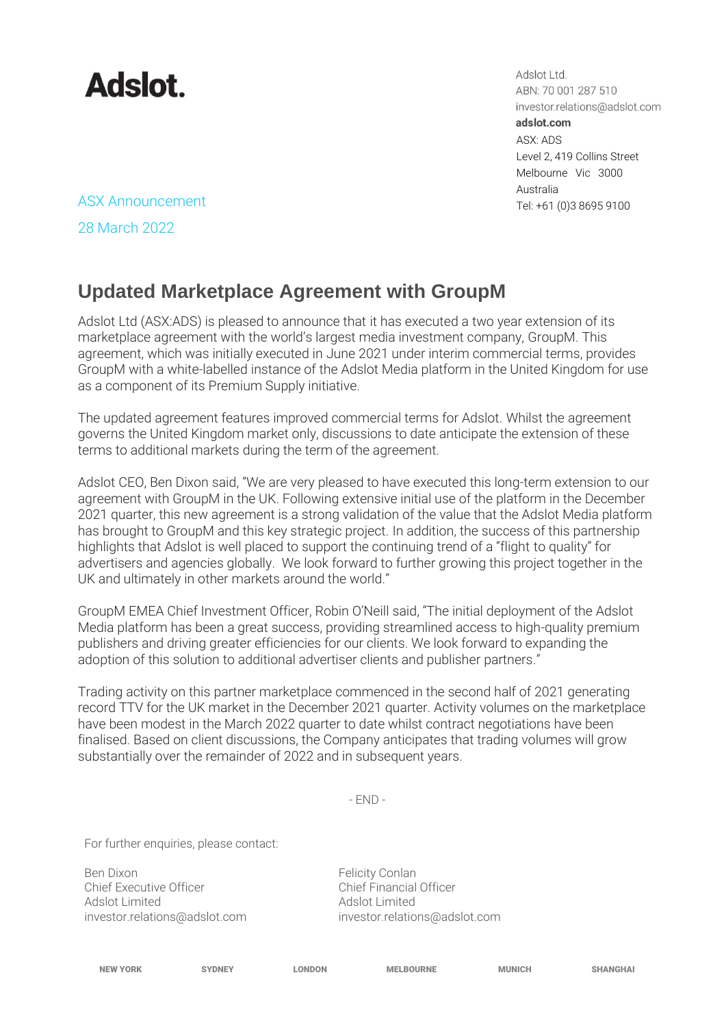

Adslot Ltd. ABN: 70 001 287 510 investor.relations@adslot.com adslot.com ASX: ADS Level 2, 419 Collins Street Melbourne Vic 3000 Australia

ASX Announcement Tel: +61 (0)3 8695 9100 28 March 2022

## **Updated Marketplace Agreement with GroupM**

Adslot Ltd (ASX:ADS) is pleased to announce that it has executed a two year extension of its marketplace agreement with the world's largest media investment company, GroupM. This agreement, which was initially executed in June 2021 under interim commercial terms, provides GroupM with a white-labelled instance of the Adslot Media platform in the United Kingdom for use as a component of its Premium Supply initiative.

The updated agreement features improved commercial terms for Adslot. Whilst the agreement governs the United Kingdom market only, discussions to date anticipate the extension of these terms to additional markets during the term of the agreement.

Adslot CEO, Ben Dixon said, "We are very pleased to have executed this long-term extension to our agreement with GroupM in the UK. Following extensive initial use of the platform in the December 2021 quarter, this new agreement is a strong validation of the value that the Adslot Media platform has brought to GroupM and this key strategic project. In addition, the success of this partnership highlights that Adslot is well placed to support the continuing trend of a "flight to quality" for advertisers and agencies globally. We look forward to further growing this project together in the UK and ultimately in other markets around the world."

GroupM EMEA Chief Investment Officer, Robin O'Neill said, "The initial deployment of the Adslot Media platform has been a great success, providing streamlined access to high-quality premium publishers and driving greater efficiencies for our clients. We look forward to expanding the adoption of this solution to additional advertiser clients and publisher partners."

Trading activity on this partner marketplace commenced in the second half of 2021 generating record TTV for the UK market in the December 2021 quarter. Activity volumes on the marketplace have been modest in the March 2022 quarter to date whilst contract negotiations have been finalised. Based on client discussions, the Company anticipates that trading volumes will grow substantially over the remainder of 2022 and in subsequent years.

- END -

For further enquiries, please contact:

Ben Dixon<br>Chief Executive Officer The South Chief Executive Officer<br>Chief Executive Officer Chief Executive Officer<br>Adslot Limited [investor.relations@adslot.com](mailto:info@adslot.com.au) investor.relations@adslot.com

Adslot Limited